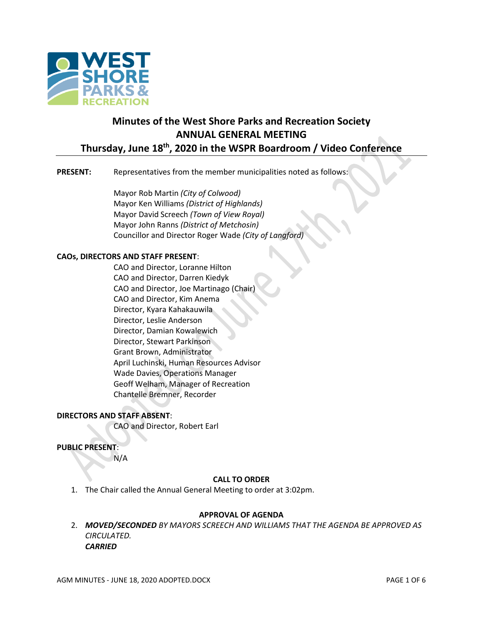

# **Minutes of the West Shore Parks and Recreation Society ANNUAL GENERAL MEETING Thursday, June 18th, 2020 in the WSPR Boardroom / Video Conference**

## **PRESENT:** Representatives from the member municipalities noted as follows:

Mayor Rob Martin *(City of Colwood)* Mayor Ken Williams *(District of Highlands)* Mayor David Screech *(Town of View Royal)* Mayor John Ranns *(District of Metchosin)* Councillor and Director Roger Wade *(City of Langford)*

### **CAOs, DIRECTORS AND STAFF PRESENT**:

CAO and Director, Loranne Hilton CAO and Director, Darren Kiedyk CAO and Director, Joe Martinago (Chair) CAO and Director, Kim Anema Director, Kyara Kahakauwila Director, Leslie Anderson Director, Damian Kowalewich Director, Stewart Parkinson Grant Brown, Administrator April Luchinski, Human Resources Advisor Wade Davies, Operations Manager Geoff Welham, Manager of Recreation Chantelle Bremner, Recorder

## **DIRECTORS AND STAFF ABSENT**:

CAO and Director, Robert Earl

### **PUBLIC PRESENT**:

N/A

## **CALL TO ORDER**

1. The Chair called the Annual General Meeting to order at 3:02pm.

### **APPROVAL OF AGENDA**

2. *MOVED/SECONDED BY MAYORS SCREECH AND WILLIAMS THAT THE AGENDA BE APPROVED AS CIRCULATED. CARRIED*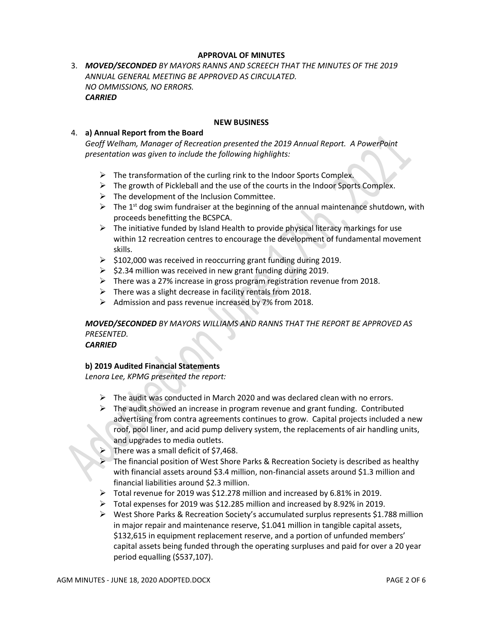## **APPROVAL OF MINUTES**

3. *MOVED/SECONDED BY MAYORS RANNS AND SCREECH THAT THE MINUTES OF THE 2019 ANNUAL GENERAL MEETING BE APPROVED AS CIRCULATED. NO OMMISSIONS, NO ERRORS. CARRIED*

### **NEW BUSINESS**

### 4. **a) Annual Report from the Board**

*Geoff Welham, Manager of Recreation presented the 2019 Annual Report. A PowerPoint presentation was given to include the following highlights:*

- $\triangleright$  The transformation of the curling rink to the Indoor Sports Complex.
- $\triangleright$  The growth of Pickleball and the use of the courts in the Indoor Sports Complex.
- $\triangleright$  The development of the Inclusion Committee.
- $\triangleright$  The 1<sup>st</sup> dog swim fundraiser at the beginning of the annual maintenance shutdown, with proceeds benefitting the BCSPCA.
- $\triangleright$  The initiative funded by Island Health to provide physical literacy markings for use within 12 recreation centres to encourage the development of fundamental movement skills.
- $\geq$  \$102,000 was received in reoccurring grant funding during 2019.
- $\geq$  \$2.34 million was received in new grant funding during 2019.
- ➢ There was a 27% increase in gross program registration revenue from 2018.
- $\triangleright$  There was a slight decrease in facility rentals from 2018.
- ➢ Admission and pass revenue increased by 7% from 2018.

## *MOVED/SECONDED BY MAYORS WILLIAMS AND RANNS THAT THE REPORT BE APPROVED AS PRESENTED.*

*CARRIED*

## **b) 2019 Audited Financial Statements**

*Lenora Lee, KPMG presented the report:*

- $\triangleright$  The audit was conducted in March 2020 and was declared clean with no errors.
- $\triangleright$  The audit showed an increase in program revenue and grant funding. Contributed advertising from contra agreements continues to grow. Capital projects included a new roof, pool liner, and acid pump delivery system, the replacements of air handling units, and upgrades to media outlets.
- There was a small deficit of \$7,468.
- ➢ The financial position of West Shore Parks & Recreation Society is described as healthy with financial assets around \$3.4 million, non-financial assets around \$1.3 million and financial liabilities around \$2.3 million.
- $\triangleright$  Total revenue for 2019 was \$12.278 million and increased by 6.81% in 2019.
- ➢ Total expenses for 2019 was \$12.285 million and increased by 8.92% in 2019.
- $\triangleright$  West Shore Parks & Recreation Society's accumulated surplus represents \$1.788 million in major repair and maintenance reserve, \$1.041 million in tangible capital assets, \$132,615 in equipment replacement reserve, and a portion of unfunded members' capital assets being funded through the operating surpluses and paid for over a 20 year period equalling (\$537,107).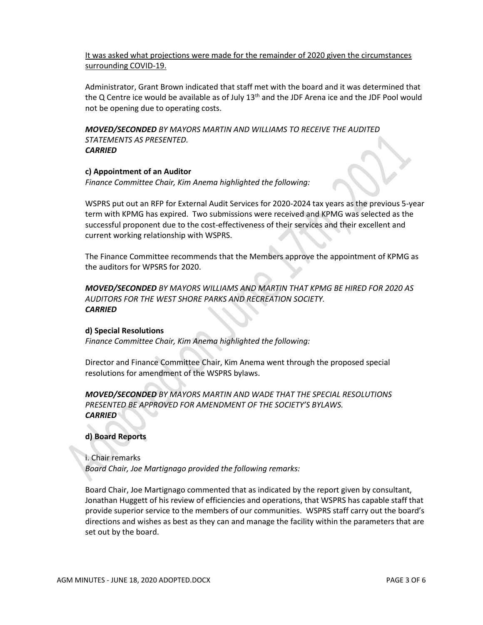It was asked what projections were made for the remainder of 2020 given the circumstances surrounding COVID-19.

Administrator, Grant Brown indicated that staff met with the board and it was determined that the Q Centre ice would be available as of July  $13<sup>th</sup>$  and the JDF Arena ice and the JDF Pool would not be opening due to operating costs.

*MOVED/SECONDED BY MAYORS MARTIN AND WILLIAMS TO RECEIVE THE AUDITED STATEMENTS AS PRESENTED. CARRIED*

### **c) Appointment of an Auditor**

*Finance Committee Chair, Kim Anema highlighted the following:*

WSPRS put out an RFP for External Audit Services for 2020-2024 tax years as the previous 5-year term with KPMG has expired. Two submissions were received and KPMG was selected as the successful proponent due to the cost-effectiveness of their services and their excellent and current working relationship with WSPRS.

The Finance Committee recommends that the Members approve the appointment of KPMG as the auditors for WPSRS for 2020.

*MOVED/SECONDED BY MAYORS WILLIAMS AND MARTIN THAT KPMG BE HIRED FOR 2020 AS AUDITORS FOR THE WEST SHORE PARKS AND RECREATION SOCIETY. CARRIED*

### **d) Special Resolutions**

*Finance Committee Chair, Kim Anema highlighted the following:*

Director and Finance Committee Chair, Kim Anema went through the proposed special resolutions for amendment of the WSPRS bylaws.

*MOVED/SECONDED BY MAYORS MARTIN AND WADE THAT THE SPECIAL RESOLUTIONS PRESENTED BE APPROVED FOR AMENDMENT OF THE SOCIETY'S BYLAWS. CARRIED*

## **d) Board Reports**

i. Chair remarks *Board Chair, Joe Martignago provided the following remarks:*

Board Chair, Joe Martignago commented that as indicated by the report given by consultant, Jonathan Huggett of his review of efficiencies and operations, that WSPRS has capable staff that provide superior service to the members of our communities. WSPRS staff carry out the board's directions and wishes as best as they can and manage the facility within the parameters that are set out by the board.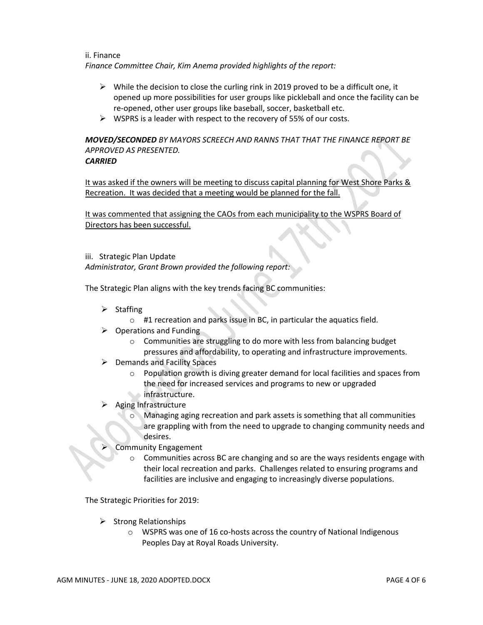ii. Finance *Finance Committee Chair, Kim Anema provided highlights of the report:*

- $\triangleright$  While the decision to close the curling rink in 2019 proved to be a difficult one, it opened up more possibilities for user groups like pickleball and once the facility can be re-opened, other user groups like baseball, soccer, basketball etc.
- ➢ WSPRS is a leader with respect to the recovery of 55% of our costs.

## *MOVED/SECONDED BY MAYORS SCREECH AND RANNS THAT THAT THE FINANCE REPORT BE APPROVED AS PRESENTED.*

## *CARRIED*

It was asked if the owners will be meeting to discuss capital planning for West Shore Parks & Recreation. It was decided that a meeting would be planned for the fall.

It was commented that assigning the CAOs from each municipality to the WSPRS Board of Directors has been successful.

### iii. Strategic Plan Update

*Administrator, Grant Brown provided the following report:*

The Strategic Plan aligns with the key trends facing BC communities:

- ➢ Staffing
	- o #1 recreation and parks issue in BC, in particular the aquatics field.
- $\triangleright$  Operations and Funding
	- o Communities are struggling to do more with less from balancing budget pressures and affordability, to operating and infrastructure improvements.
- $\triangleright$  Demands and Facility Spaces
	- o Population growth is diving greater demand for local facilities and spaces from the need for increased services and programs to new or upgraded infrastructure.
- ➢ Aging Infrastructure
	- Managing aging recreation and park assets is something that all communities are grappling with from the need to upgrade to changing community needs and desires.
- ➢ Community Engagement
	- $\circ$  Communities across BC are changing and so are the ways residents engage with their local recreation and parks. Challenges related to ensuring programs and facilities are inclusive and engaging to increasingly diverse populations.

The Strategic Priorities for 2019:

- ➢ Strong Relationships
	- o WSPRS was one of 16 co-hosts across the country of National Indigenous Peoples Day at Royal Roads University.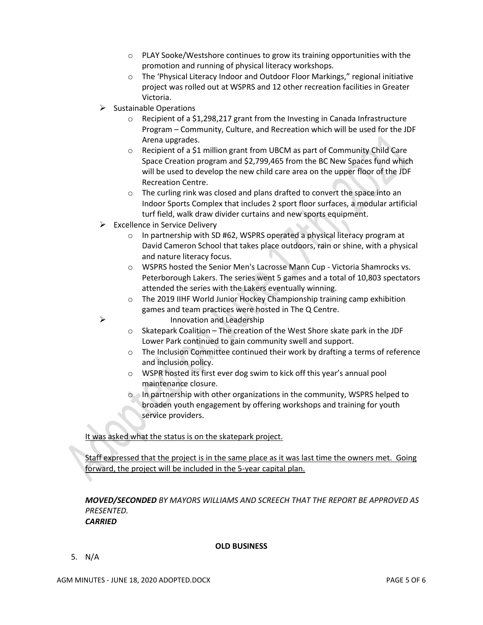- o PLAY Sooke/Westshore continues to grow its training opportunities with the promotion and running of physical literacy workshops.
- o The 'Physical Literacy Indoor and Outdoor Floor Markings," regional initiative project was rolled out at WSPRS and 12 other recreation facilities in Greater Victoria.
- ➢ Sustainable Operations
	- $\circ$  Recipient of a \$1,298,217 grant from the Investing in Canada Infrastructure Program – Community, Culture, and Recreation which will be used for the JDF Arena upgrades.
	- o Recipient of a \$1 million grant from UBCM as part of Community Child Care Space Creation program and \$2,799,465 from the BC New Spaces fund which will be used to develop the new child care area on the upper floor of the JDF Recreation Centre.
	- o The curling rink was closed and plans drafted to convert the space into an Indoor Sports Complex that includes 2 sport floor surfaces, a modular artificial turf field, walk draw divider curtains and new sports equipment.
- ➢ Excellence in Service Delivery
	- $\circ$  In partnership with SD #62, WSPRS operated a physical literacy program at David Cameron School that takes place outdoors, rain or shine, with a physical and nature literacy focus.
	- o WSPRS hosted the Senior Men's Lacrosse Mann Cup Victoria Shamrocks vs. Peterborough Lakers. The series went 5 games and a total of 10,803 spectators attended the series with the Lakers eventually winning.
	- o The 2019 IIHF World Junior Hockey Championship training camp exhibition games and team practices were hosted in The Q Centre.
		- ➢ Innovation and Leadership
	- $\circ$  Skatepark Coalition The creation of the West Shore skate park in the JDF Lower Park continued to gain community swell and support.
	- o The Inclusion Committee continued their work by drafting a terms of reference and inclusion policy.
	- o WSPR hosted its first ever dog swim to kick off this year's annual pool maintenance closure.
	- o In partnership with other organizations in the community, WSPRS helped to broaden youth engagement by offering workshops and training for youth service providers.

It was asked what the status is on the skatepark project.

Staff expressed that the project is in the same place as it was last time the owners met. Going forward, the project will be included in the 5-year capital plan.

*MOVED/SECONDED BY MAYORS WILLIAMS AND SCREECH THAT THE REPORT BE APPROVED AS PRESENTED. CARRIED*

## **OLD BUSINESS**

5. N/A